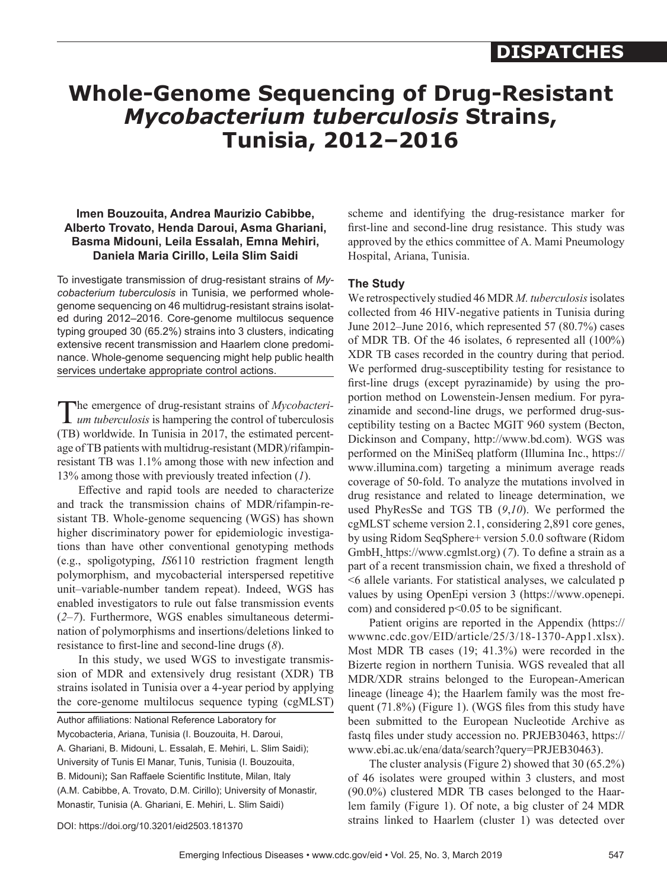## **DISPATCHES**

# **Whole-Genome Sequencing of Drug-Resistant**  *Mycobacterium tuberculosis* **Strains, Tunisia, 2012–2016**

### **Imen Bouzouita, Andrea Maurizio Cabibbe, Alberto Trovato, Henda Daroui, Asma Ghariani, Basma Midouni, Leila Essalah, Emna Mehiri, Daniela Maria Cirillo, Leila Slim Saidi**

To investigate transmission of drug-resistant strains of *Mycobacterium tuberculosis* in Tunisia, we performed wholegenome sequencing on 46 multidrug-resistant strains isolated during 2012–2016. Core-genome multilocus sequence typing grouped 30 (65.2%) strains into 3 clusters, indicating extensive recent transmission and Haarlem clone predominance. Whole-genome sequencing might help public health services undertake appropriate control actions.

The emergence of drug-resistant strains of *Mycobacteri-um tuberculosis* is hampering the control of tuberculosis (TB) worldwide. In Tunisia in 2017, the estimated percentage of TB patients with multidrug-resistant (MDR)/rifampinresistant TB was 1.1% among those with new infection and 13% among those with previously treated infection (*1*).

Effective and rapid tools are needed to characterize and track the transmission chains of MDR/rifampin-resistant TB. Whole-genome sequencing (WGS) has shown higher discriminatory power for epidemiologic investigations than have other conventional genotyping methods (e.g., spoligotyping, *IS*6110 restriction fragment length polymorphism, and mycobacterial interspersed repetitive unit–variable-number tandem repeat). Indeed, WGS has enabled investigators to rule out false transmission events (*2*–*7*). Furthermore, WGS enables simultaneous determination of polymorphisms and insertions/deletions linked to resistance to first-line and second-line drugs (*8*).

In this study, we used WGS to investigate transmission of MDR and extensively drug resistant (XDR) TB strains isolated in Tunisia over a 4-year period by applying the core-genome multilocus sequence typing (cgMLST)

| Author affiliations: National Reference Laboratory for            |
|-------------------------------------------------------------------|
| Mycobacteria, Ariana, Tunisia (I. Bouzouita, H. Daroui,           |
| A. Ghariani, B. Midouni, L. Essalah, E. Mehiri, L. Slim Saidi);   |
| University of Tunis El Manar, Tunis, Tunisia (I. Bouzouita,       |
| B. Midouni); San Raffaele Scientific Institute, Milan, Italy      |
| (A.M. Cabibbe, A. Trovato, D.M. Cirillo); University of Monastir, |
| Monastir, Tunisia (A. Ghariani, E. Mehiri, L. Slim Saidi)         |
|                                                                   |

scheme and identifying the drug-resistance marker for first-line and second-line drug resistance. This study was approved by the ethics committee of A. Mami Pneumology Hospital, Ariana, Tunisia.

#### **The Study**

We retrospectively studied 46 MDR *M. tuberculosis* isolates collected from 46 HIV-negative patients in Tunisia during June 2012–June 2016, which represented 57 (80.7%) cases of MDR TB. Of the 46 isolates, 6 represented all (100%) XDR TB cases recorded in the country during that period. We performed drug-susceptibility testing for resistance to first-line drugs (except pyrazinamide) by using the proportion method on Lowenstein-Jensen medium. For pyrazinamide and second-line drugs, we performed drug-susceptibility testing on a Bactec MGIT 960 system (Becton, Dickinson and Company, http://www.bd.com). WGS was performed on the MiniSeq platform (Illumina Inc., https:// www.illumina.com) targeting a minimum average reads coverage of 50-fold. To analyze the mutations involved in drug resistance and related to lineage determination, we used PhyResSe and TGS TB (*9*,*10*). We performed the cgMLST scheme version 2.1, considering 2,891 core genes, by using Ridom SeqSphere+ version 5.0.0 software (Ridom GmbH, https://www.cgmlst.org) (*7*). To define a strain as a part of a recent transmission chain, we fixed a threshold of <6 allele variants. For statistical analyses, we calculated p values by using OpenEpi version 3 (https://www.openepi. com) and considered p<0.05 to be significant.

Patient origins are reported in the Appendix (https:// wwwnc.cdc.gov/EID/article/25/3/18-1370-App1.xlsx). Most MDR TB cases (19; 41.3%) were recorded in the Bizerte region in northern Tunisia. WGS revealed that all MDR/XDR strains belonged to the European-American lineage (lineage 4); the Haarlem family was the most frequent (71.8%) (Figure 1). (WGS files from this study have been submitted to the European Nucleotide Archive as fastq files under study accession no. PRJEB30463, https:// www.ebi.ac.uk/ena/data/search?query=PRJEB30463).

The cluster analysis (Figure 2) showed that 30 (65.2%) of 46 isolates were grouped within 3 clusters, and most (90.0%) clustered MDR TB cases belonged to the Haarlem family (Figure 1). Of note, a big cluster of 24 MDR strains linked to Haarlem (cluster 1) was detected over

DOI: https://doi.org/10.3201/eid2503.181370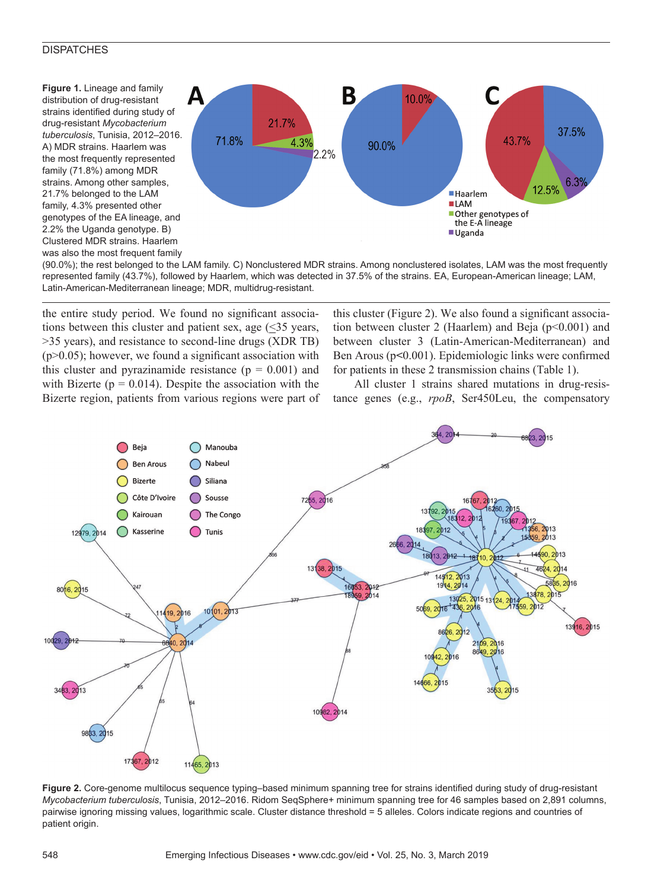#### **DISPATCHES**

**Figure 1.** Lineage and family distribution of drug-resistant strains identified during study of drug-resistant *Mycobacterium tuberculosis*, Tunisia, 2012–2016. A) MDR strains. Haarlem was the most frequently represented family (71.8%) among MDR strains. Among other samples, 21.7% belonged to the LAM family, 4.3% presented other genotypes of the EA lineage, and 2.2% the Uganda genotype. B) Clustered MDR strains. Haarlem was also the most frequent family



(90.0%); the rest belonged to the LAM family. C) Nonclustered MDR strains. Among nonclustered isolates, LAM was the most frequently represented family (43.7%), followed by Haarlem, which was detected in 37.5% of the strains. EA, European-American lineage; LAM, Latin-American-Mediterranean lineage; MDR, multidrug-resistant.

the entire study period. We found no significant associations between this cluster and patient sex, age  $(\leq)$ 35 years, >35 years), and resistance to second-line drugs (XDR TB)  $(p>0.05)$ ; however, we found a significant association with this cluster and pyrazinamide resistance  $(p = 0.001)$  and with Bizerte ( $p = 0.014$ ). Despite the association with the Bizerte region, patients from various regions were part of

this cluster (Figure 2). We also found a significant association between cluster 2 (Haarlem) and Beja (p<0.001) and between cluster 3 (Latin-American-Mediterranean) and Ben Arous (p**<**0.001). Epidemiologic links were confirmed for patients in these 2 transmission chains (Table 1).

All cluster 1 strains shared mutations in drug-resistance genes (e.g., *rpoB*, Ser450Leu, the compensatory



**Figure 2.** Core-genome multilocus sequence typing–based minimum spanning tree for strains identified during study of drug-resistant *Mycobacterium tuberculosis*, Tunisia, 2012–2016. Ridom SeqSphere+ minimum spanning tree for 46 samples based on 2,891 columns, pairwise ignoring missing values, logarithmic scale. Cluster distance threshold = 5 alleles. Colors indicate regions and countries of patient origin.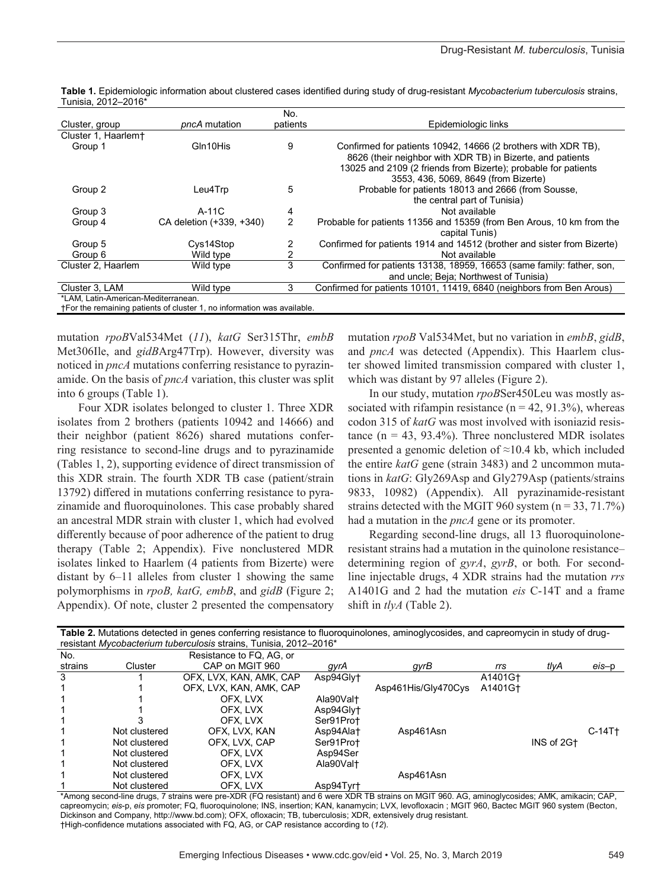|                                                                         |                          | No.      |                                                                         |  |  |  |  |
|-------------------------------------------------------------------------|--------------------------|----------|-------------------------------------------------------------------------|--|--|--|--|
| Cluster, group                                                          | pncA mutation            | patients | Epidemiologic links                                                     |  |  |  |  |
| Cluster 1, Haarlem+                                                     |                          |          |                                                                         |  |  |  |  |
| Group 1                                                                 | Gln10His                 | 9        | Confirmed for patients 10942, 14666 (2 brothers with XDR TB),           |  |  |  |  |
|                                                                         |                          |          | 8626 (their neighbor with XDR TB) in Bizerte, and patients              |  |  |  |  |
|                                                                         |                          |          | 13025 and 2109 (2 friends from Bizerte); probable for patients          |  |  |  |  |
|                                                                         |                          |          | 3553, 436, 5069, 8649 (from Bizerte)                                    |  |  |  |  |
| Group 2                                                                 | Leu4Trp                  | 5        | Probable for patients 18013 and 2666 (from Sousse,                      |  |  |  |  |
|                                                                         |                          |          | the central part of Tunisia)                                            |  |  |  |  |
| Group 3                                                                 | $A-11C$                  | 4        | Not available                                                           |  |  |  |  |
| Group 4                                                                 | CA deletion (+339, +340) | 2        | Probable for patients 11356 and 15359 (from Ben Arous, 10 km from the   |  |  |  |  |
|                                                                         |                          |          | capital Tunis)                                                          |  |  |  |  |
| Group 5                                                                 | Cys14Stop                | 2        | Confirmed for patients 1914 and 14512 (brother and sister from Bizerte) |  |  |  |  |
| Group 6                                                                 | Wild type                | 2        | Not available                                                           |  |  |  |  |
| Cluster 2, Haarlem                                                      | Wild type                | 3        | Confirmed for patients 13138, 18959, 16653 (same family: father, son,   |  |  |  |  |
|                                                                         |                          |          | and uncle; Beja; Northwest of Tunisia)                                  |  |  |  |  |
| Cluster 3. LAM                                                          | Wild type                | 3        | Confirmed for patients 10101, 11419, 6840 (neighbors from Ben Arous)    |  |  |  |  |
| *LAM, Latin-American-Mediterranean.                                     |                          |          |                                                                         |  |  |  |  |
| †For the remaining patients of cluster 1, no information was available. |                          |          |                                                                         |  |  |  |  |

**Table 1.** Epidemiologic information about clustered cases identified during study of drug-resistant *Mycobacterium tuberculosis* strains, Tunisia, 2012–2016\*

mutation *rpoB*Val534Met (*11*), *katG* Ser315Thr, *embB* Met306Ile, and *gidB*Arg47Trp). However, diversity was noticed in *pncA* mutations conferring resistance to pyrazinamide. On the basis of *pncA* variation, this cluster was split into 6 groups (Table 1).

Four XDR isolates belonged to cluster 1. Three XDR isolates from 2 brothers (patients 10942 and 14666) and their neighbor (patient 8626) shared mutations conferring resistance to second-line drugs and to pyrazinamide (Tables 1, 2), supporting evidence of direct transmission of this XDR strain. The fourth XDR TB case (patient/strain 13792) differed in mutations conferring resistance to pyrazinamide and fluoroquinolones. This case probably shared an ancestral MDR strain with cluster 1, which had evolved differently because of poor adherence of the patient to drug therapy (Table 2; Appendix). Five nonclustered MDR isolates linked to Haarlem (4 patients from Bizerte) were distant by 6–11 alleles from cluster 1 showing the same polymorphisms in *rpoB, katG, embB*, and *gidB* (Figure 2; Appendix). Of note, cluster 2 presented the compensatory

mutation *rpoB* Val534Met, but no variation in *embB*, *gidB*, and *pncA* was detected (Appendix). This Haarlem cluster showed limited transmission compared with cluster 1, which was distant by 97 alleles (Figure 2).

In our study, mutation *rpoB*Ser450Leu was mostly associated with rifampin resistance ( $n = 42, 91.3\%$ ), whereas codon 315 of *katG* was most involved with isoniazid resistance ( $n = 43$ , 93.4%). Three nonclustered MDR isolates presented a genomic deletion of ≈10.4 kb, which included the entire *katG* gene (strain 3483) and 2 uncommon mutations in *katG*: Gly269Asp and Gly279Asp (patients/strains 9833, 10982) (Appendix). All pyrazinamide-resistant strains detected with the MGIT 960 system  $(n = 33, 71.7%)$ had a mutation in the *pncA* gene or its promoter.

Regarding second-line drugs, all 13 fluoroquinoloneresistant strains had a mutation in the quinolone resistance– determining region of *gyrA*, *gyrB*, or both*.* For secondline injectable drugs, 4 XDR strains had the mutation *rrs* A1401G and 2 had the mutation *eis* C-14T and a frame shift in *tlyA* (Table 2).

| Table 2. Mutations detected in genes conferring resistance to fluoroquinolones, aminoglycosides, and capreomycin in study of drug-<br>resistant Mycobacterium tuberculosis strains, Tunisia, 2012–2016* |               |                          |           |                     |         |            |          |  |  |
|---------------------------------------------------------------------------------------------------------------------------------------------------------------------------------------------------------|---------------|--------------------------|-----------|---------------------|---------|------------|----------|--|--|
| No.                                                                                                                                                                                                     |               | Resistance to FQ. AG. or |           |                     |         |            |          |  |  |
| strains                                                                                                                                                                                                 | Cluster       | CAP on MGIT 960          | gyrA      | gyrB                | rrs     | tlyA       | eis-p    |  |  |
| 3                                                                                                                                                                                                       |               | OFX, LVX, KAN, AMK, CAP  | Asp94Gly+ |                     | A1401G+ |            |          |  |  |
|                                                                                                                                                                                                         |               | OFX, LVX, KAN, AMK, CAP  |           | Asp461His/Gly470Cys | A1401G+ |            |          |  |  |
|                                                                                                                                                                                                         |               | OFX. LVX                 | Ala90Valt |                     |         |            |          |  |  |
|                                                                                                                                                                                                         |               | OFX. LVX                 | Asp94Gly† |                     |         |            |          |  |  |
|                                                                                                                                                                                                         |               | OFX. LVX                 | Ser91Prot |                     |         |            |          |  |  |
|                                                                                                                                                                                                         | Not clustered | OFX. LVX. KAN            | Asp94Ala+ | Asp461Asn           |         |            | $C-14T+$ |  |  |
|                                                                                                                                                                                                         | Not clustered | OFX. LVX. CAP            | Ser91Prot |                     |         | INS of 2G+ |          |  |  |
|                                                                                                                                                                                                         | Not clustered | OFX. LVX                 | Asp94Ser  |                     |         |            |          |  |  |
|                                                                                                                                                                                                         | Not clustered | OFX. LVX                 | Ala90Valt |                     |         |            |          |  |  |
|                                                                                                                                                                                                         | Not clustered | OFX. LVX                 |           | Asp461Asn           |         |            |          |  |  |
|                                                                                                                                                                                                         | Not clustered | OFX, LVX                 | Asp94Tyrt |                     |         |            |          |  |  |

\*Among second-line drugs, 7 strains were pre-XDR (FQ resistant) and 6 were XDR TB strains on MGIT 960. AG, aminoglycosides; AMK, amikacin; CAP, capreomycin; *eis*-p, *eis* promoter; FQ, fluoroquinolone; INS, insertion; KAN, kanamycin; LVX, levofloxacin ; MGIT 960, Bactec MGIT 960 system (Becton, Dickinson and Company, http://www.bd.com); OFX, ofloxacin; TB, tuberculosis; XDR, extensively drug resistant. †High-confidence mutations associated with FQ, AG, or CAP resistance according to (*12*).